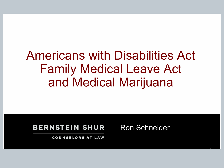# Americans with Disabilities Act Family Medical Leave Act and Medical Marijuana

#### **BERNSTEIN SHUR**

Ron Schneider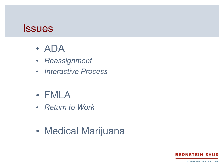#### **Issues**

- ADA
- *Reassignment*
- *Interactive Process*
- FMLA
- *Return to Work*
- Medical Marijuana

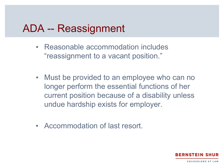- Reasonable accommodation includes "reassignment to a vacant position."
- Must be provided to an employee who can no longer perform the essential functions of her current position because of a disability unless undue hardship exists for employer.
- Accommodation of last resort.

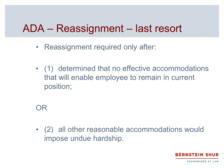## ADA – Reassignment – last resort

- Reassignment required only after:
- (1) determined that no effective accommodations that will enable employee to remain in current position;

OR

• (2) all other reasonable accommodations would impose undue hardship.

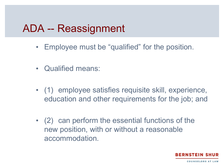- Employee must be "qualified" for the position.
- Qualified means:
- (1) employee satisfies requisite skill, experience, education and other requirements for the job; and
- (2) can perform the essential functions of the new position, with or without a reasonable accommodation.

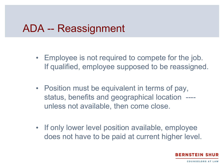- Employee is not required to compete for the job. If qualified, employee supposed to be reassigned.
- Position must be equivalent in terms of pay, status, benefits and geographical location --- unless not available, then come close.
- If only lower level position available, employee does not have to be paid at current higher level.

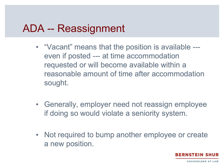- "Vacant" means that the position is available -- even if posted --- at time accommodation requested or will become available within a reasonable amount of time after accommodation sought.
- Generally, employer need not reassign employee if doing so would violate a seniority system.
- Not required to bump another employee or create a new position.

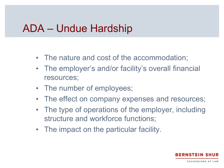#### ADA – Undue Hardship

- The nature and cost of the accommodation;
- The employer's and/or facility's overall financial resources;
- The number of employees;
- The effect on company expenses and resources;
- The type of operations of the employer, including structure and workforce functions;
- The impact on the particular facility.

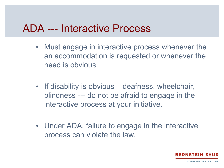#### ADA --- Interactive Process

- Must engage in interactive process whenever the an accommodation is requested or whenever the need is obvious.
- If disability is obvious deafness, wheelchair, blindness --- do not be afraid to engage in the interactive process at your initiative.
- Under ADA, failure to engage in the interactive process can violate the law.

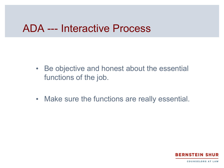#### ADA --- Interactive Process

- Be objective and honest about the essential functions of the job.
- Make sure the functions are really essential.

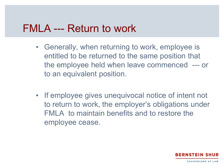#### FMLA --- Return to work

- Generally, when returning to work, employee is entitled to be returned to the same position that the employee held when leave commenced --- or to an equivalent position.
- If employee gives unequivocal notice of intent not to return to work, the employer's obligations under FMLA to maintain benefits and to restore the employee cease.

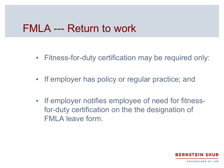#### FMLA --- Return to work

- Fitness-for-duty certification may be required only:
- If employer has policy or regular practice; and
- If employer notifies employee of need for fitnessfor-duty certification on the the designation of FMLA leave form.

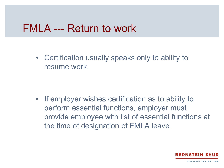#### FMLA --- Return to work

• Certification usually speaks only to ability to resume work.

• If employer wishes certification as to ability to perform essential functions, employer must provide employee with list of essential functions at the time of designation of FMLA leave.

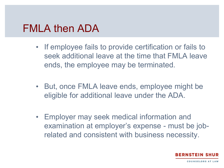#### FMLA then ADA

- If employee fails to provide certification or fails to seek additional leave at the time that FMLA leave ends, the employee may be terminated.
- But, once FMLA leave ends, employee might be eligible for additional leave under the ADA.
- Employer may seek medical information and examination at employer's expense - must be jobrelated and consistent with business necessity.

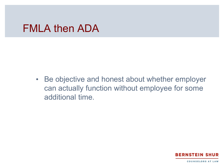#### FMLA then ADA

• Be objective and honest about whether employer can actually function without employee for some additional time.

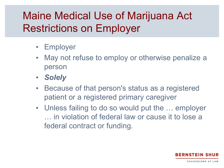## Maine Medical Use of Marijuana Act Restrictions on Employer

- Employer
- May not refuse to employ or otherwise penalize a person
- *Solely*
- Because of that person's status as a registered patient or a registered primary caregiver
- Unless failing to do so would put the ... employer … in violation of federal law or cause it to lose a federal contract or funding.

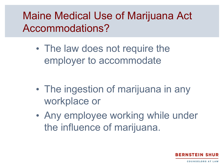## Maine Medical Use of Marijuana Act Accommodations?

• The law does not require the employer to accommodate

- The ingestion of marijuana in any workplace or
- Any employee working while under the influence of marijuana.

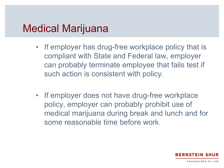#### Medical Marijuana

- If employer has drug-free workplace policy that is compliant with State and Federal law, employer can probably terminate employee that fails test if such action is consistent with policy.
- If employer does not have drug-free workplace policy, employer can probably prohibit use of medical marijuana during break and lunch and for some reasonable time before work.